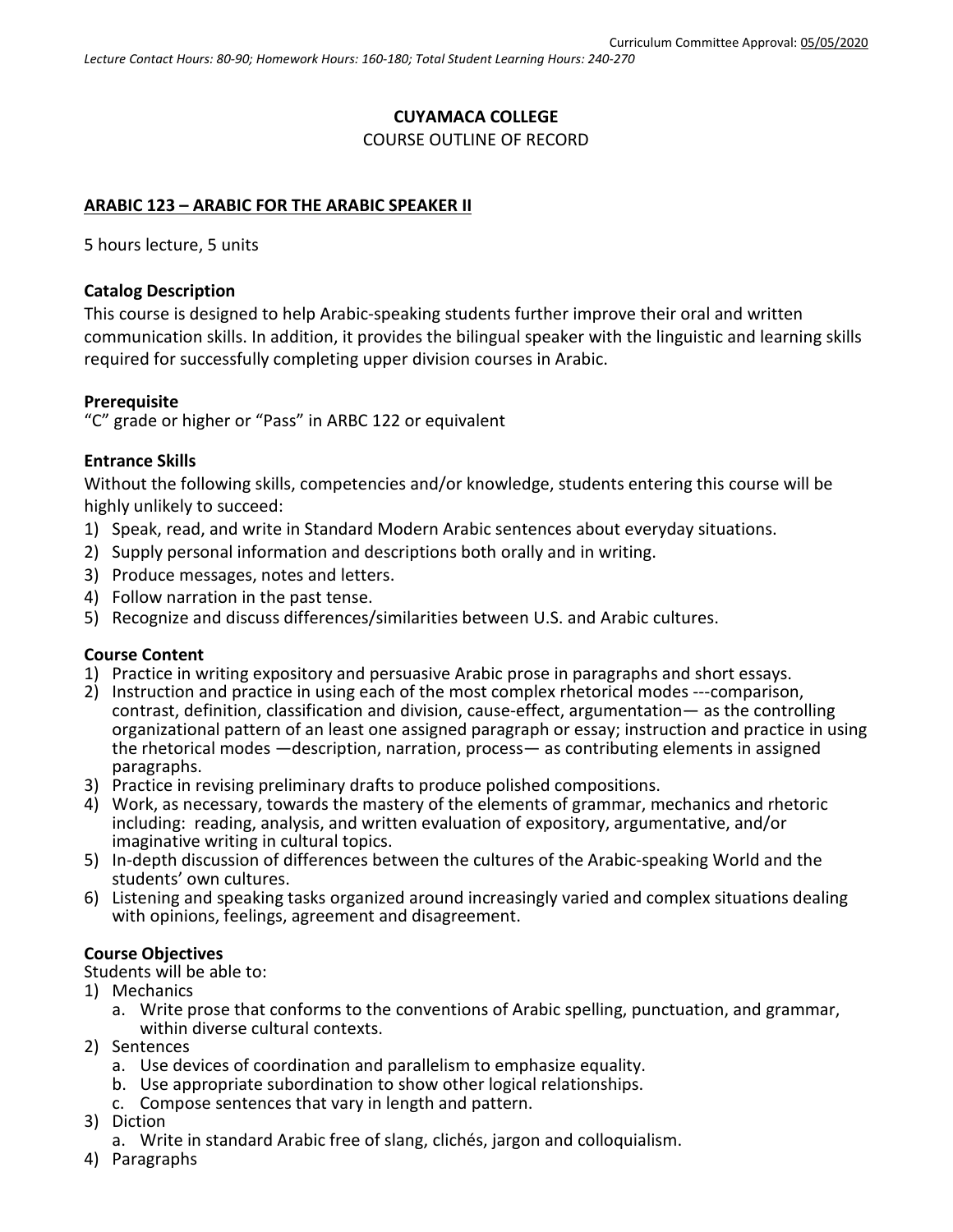#### **CUYAMACA COLLEGE**

#### COURSE OUTLINE OF RECORD

# **ARABIC 123 – ARABIC FOR THE ARABIC SPEAKER II**

5 hours lecture, 5 units

### **Catalog Description**

This course is designed to help Arabic-speaking students further improve their oral and written communication skills. In addition, it provides the bilingual speaker with the linguistic and learning skills required for successfully completing upper division courses in Arabic.

## **Prerequisite**

"C" grade or higher or "Pass" in ARBC 122 or equivalent

## **Entrance Skills**

Without the following skills, competencies and/or knowledge, students entering this course will be highly unlikely to succeed:

- 1) Speak, read, and write in Standard Modern Arabic sentences about everyday situations.
- 2) Supply personal information and descriptions both orally and in writing.
- 3) Produce messages, notes and letters.
- 4) Follow narration in the past tense.
- 5) Recognize and discuss differences/similarities between U.S. and Arabic cultures.

#### **Course Content**

- 1) Practice in writing expository and persuasive Arabic prose in paragraphs and short essays.
- 2) Instruction and practice in using each of the most complex rhetorical modes ---comparison, contrast, definition, classification and division, cause-effect, argumentation— as the controlling organizational pattern of an least one assigned paragraph or essay; instruction and practice in using the rhetorical modes —description, narration, process— as contributing elements in assigned paragraphs.
- 3) Practice in revising preliminary drafts to produce polished compositions.
- 4) Work, as necessary, towards the mastery of the elements of grammar, mechanics and rhetoric including: reading, analysis, and written evaluation of expository, argumentative, and/or imaginative writing in cultural topics.
- 5) In-depth discussion of differences between the cultures of the Arabic-speaking World and the students' own cultures.
- 6) Listening and speaking tasks organized around increasingly varied and complex situations dealing with opinions, feelings, agreement and disagreement.

## **Course Objectives**

- Students will be able to:
- 1) Mechanics
	- a. Write prose that conforms to the conventions of Arabic spelling, punctuation, and grammar, within diverse cultural contexts.
- 2) Sentences
	- a. Use devices of coordination and parallelism to emphasize equality.
	- b. Use appropriate subordination to show other logical relationships.
	- c. Compose sentences that vary in length and pattern.
- 3) Diction
	- a. Write in standard Arabic free of slang, clichés, jargon and colloquialism.
- 4) Paragraphs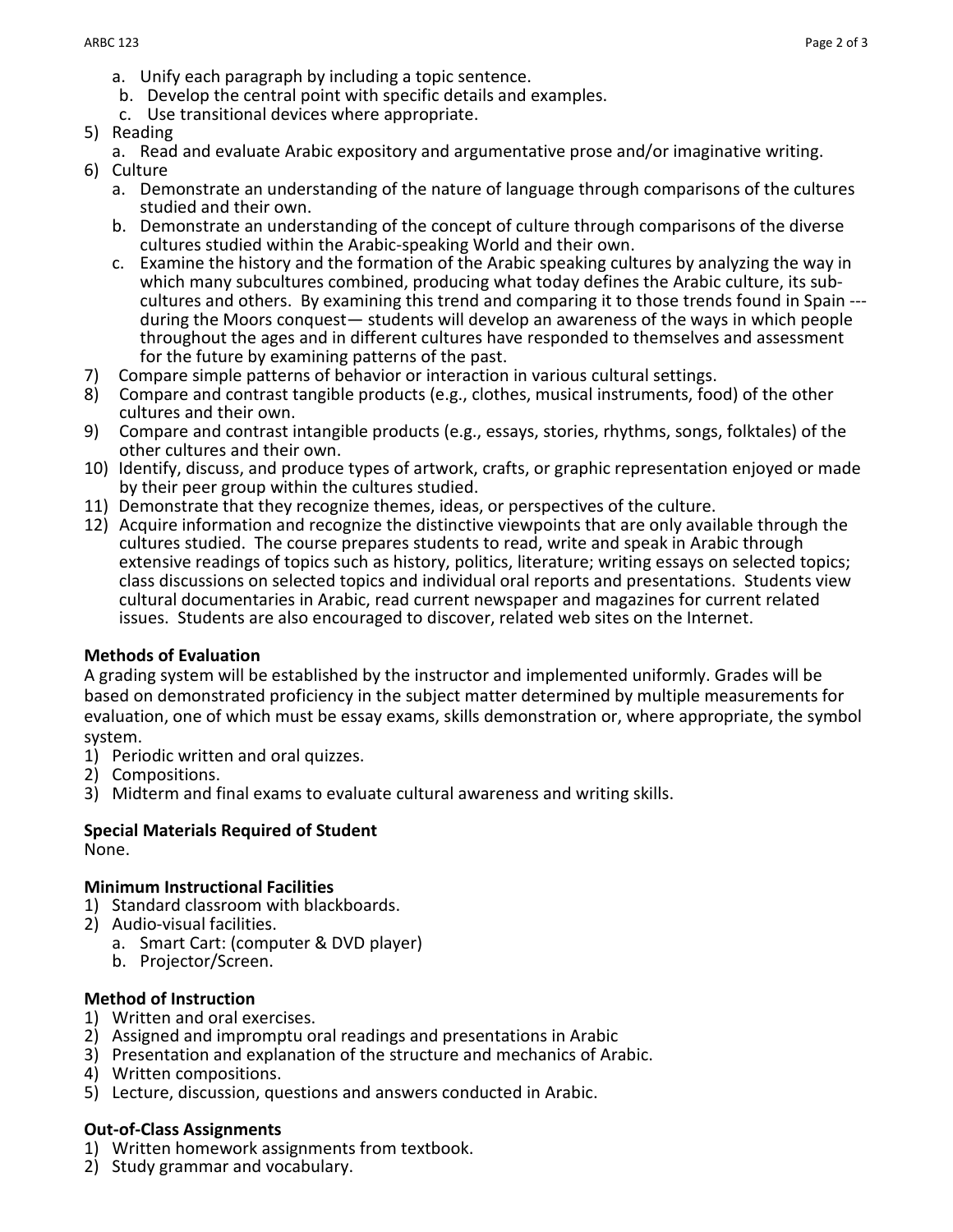- a. Unify each paragraph by including a topic sentence.
- b. Develop the central point with specific details and examples.
- c. Use transitional devices where appropriate.
- 5) Reading
	- a. Read and evaluate Arabic expository and argumentative prose and/or imaginative writing.
- 6) Culture
	- a. Demonstrate an understanding of the nature of language through comparisons of the cultures studied and their own.
	- b. Demonstrate an understanding of the concept of culture through comparisons of the diverse cultures studied within the Arabic-speaking World and their own.
	- c. Examine the history and the formation of the Arabic speaking cultures by analyzing the way in which many subcultures combined, producing what today defines the Arabic culture, its sub-<br>cultures and others. By examining this trend and comparing it to those trends found in Spain ---<br>during the Moors conquest— student throughout the ages and in different cultures have responded to themselves and assessment for the future by examining patterns of the past.
- 7) Compare simple patterns of behavior or interaction in various cultural settings.
- 8) Compare and contrast tangible products (e.g., clothes, musical instruments, food) of the other cultures and their own.
- 9) Compare and contrast intangible products (e.g., essays, stories, rhythms, songs, folktales) of the other cultures and their own.
- 10) Identify, discuss, and produce types of artwork, crafts, or graphic representation enjoyed or made by their peer group within the cultures studied.
- 11) Demonstrate that they recognize themes, ideas, or perspectives of the culture.
- 12) Acquire information and recognize the distinctive viewpoints that are only available through the cultures studied. The course prepares students to read, write and speak in Arabic through extensive readings of topics such as history, politics, literature; writing essays on selected topics; class discussions on selected topics and individual oral reports and presentations. Students view cultural documentaries in Arabic, read current newspaper and magazines for current related issues. Students are also encouraged to discover, related web sites on the Internet.

#### **Methods of Evaluation**

A grading system will be established by the instructor and implemented uniformly. Grades will be based on demonstrated proficiency in the subject matter determined by multiple measurements for evaluation, one of which must be essay exams, skills demonstration or, where appropriate, the symbol system.

- 1) Periodic written and oral quizzes.
- 2) Compositions.
- 3) Midterm and final exams to evaluate cultural awareness and writing skills.

# **Special Materials Required of Student**

None.

#### **Minimum Instructional Facilities**

- 1) Standard classroom with blackboards.
- 2) Audio-visual facilities.
	- a. Smart Cart: (computer & DVD player)
	- b. Projector/Screen.

#### **Method of Instruction**

- 1) Written and oral exercises.
- 2) Assigned and impromptu oral readings and presentations in Arabic
- 3) Presentation and explanation of the structure and mechanics of Arabic.
- 4) Written compositions.
- 5) Lecture, discussion, questions and answers conducted in Arabic.

#### **Out-of-Class Assignments**

- 1) Written homework assignments from textbook.
- 2) Study grammar and vocabulary.